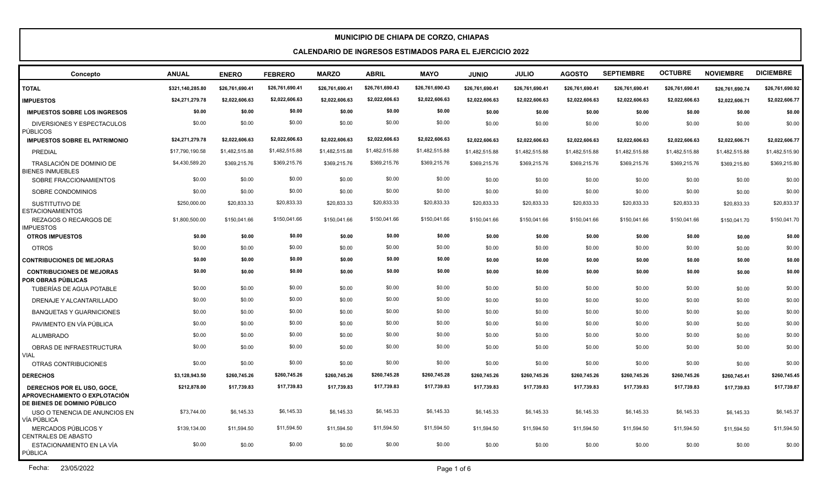| Concepto                                                                                           | <b>ANUAL</b>     | <b>ENERO</b>    | <b>FEBRERO</b>  | <b>MARZO</b>    | <b>ABRIL</b>    | <b>MAYO</b>     | <b>JUNIO</b>    | <b>JULIO</b>    | <b>AGOSTO</b>   | <b>SEPTIEMBRE</b> | <b>OCTUBRE</b>  | <b>NOVIEMBRE</b> | <b>DICIEMBRE</b> |
|----------------------------------------------------------------------------------------------------|------------------|-----------------|-----------------|-----------------|-----------------|-----------------|-----------------|-----------------|-----------------|-------------------|-----------------|------------------|------------------|
| <b>TOTAL</b>                                                                                       | \$321,140,285.80 | \$26,761,690.41 | \$26,761,690.41 | \$26,761,690.41 | \$26,761,690.43 | \$26,761,690.43 | \$26,761,690.41 | \$26,761,690.41 | \$26,761,690.41 | \$26,761,690.41   | \$26,761,690.41 | \$26,761,690.74  | \$26,761,690.92  |
| <b>IMPUESTOS</b>                                                                                   | \$24,271,279.78  | \$2,022,606.63  | \$2,022,606.63  | \$2,022,606.63  | \$2,022,606.63  | \$2,022,606.63  | \$2,022,606.63  | \$2,022,606.63  | \$2,022,606.63  | \$2,022,606.63    | \$2,022,606.63  | \$2,022,606.71   | \$2,022,606.77   |
| <b>IMPUESTOS SOBRE LOS INGRESOS</b>                                                                | \$0.00           | \$0.00          | \$0.00          | \$0.00          | \$0.00          | \$0.00          | \$0.00          | \$0.00          | \$0.00          | \$0.00            | \$0.00          | \$0.00           | \$0.00           |
| DIVERSIONES Y ESPECTACULOS<br><b>PÚBLICOS</b>                                                      | \$0.00           | \$0.00          | \$0.00          | \$0.00          | \$0.00          | \$0.00          | \$0.00          | \$0.00          | \$0.00          | \$0.00            | \$0.00          | \$0.00           | \$0.00           |
| <b>IMPUESTOS SOBRE EL PATRIMONIO</b>                                                               | \$24,271,279.78  | \$2,022,606.63  | \$2,022,606.63  | \$2,022,606.63  | \$2,022,606.63  | \$2,022,606.63  | \$2,022,606.63  | \$2,022,606.63  | \$2,022,606.63  | \$2,022,606.63    | \$2,022,606.63  | \$2,022,606.71   | \$2,022,606.77   |
| PREDIAL                                                                                            | \$17,790,190.58  | \$1,482,515.88  | \$1,482,515.88  | \$1,482,515.88  | \$1,482,515.88  | \$1,482,515.88  | \$1,482,515.88  | \$1,482,515.88  | \$1,482,515.88  | \$1,482,515.88    | \$1,482,515.88  | \$1,482,515.88   | \$1,482,515.90   |
| TRASLACIÓN DE DOMINIO DE<br><b>BIENES INMUEBLES</b>                                                | \$4,430,589.20   | \$369,215.76    | \$369,215.76    | \$369,215.76    | \$369,215.76    | \$369,215.76    | \$369,215.76    | \$369,215.76    | \$369,215.76    | \$369,215.76      | \$369,215.76    | \$369,215.80     | \$369,215.80     |
| SOBRE FRACCIONAMIENTOS                                                                             | \$0.00           | \$0.00          | \$0.00          | \$0.00          | \$0.00          | \$0.00          | \$0.00          | \$0.00          | \$0.00          | \$0.00            | \$0.00          | \$0.00           | \$0.00           |
| SOBRE CONDOMINIOS                                                                                  | \$0.00           | \$0.00          | \$0.00          | \$0.00          | \$0.00          | \$0.00          | \$0.00          | \$0.00          | \$0.00          | \$0.00            | \$0.00          | \$0.00           | \$0.00           |
| SUSTITUTIVO DE<br><b>ESTACIONAMIENTOS</b>                                                          | \$250,000.00     | \$20,833.33     | \$20,833.33     | \$20,833.33     | \$20,833.33     | \$20,833.33     | \$20,833.33     | \$20,833.33     | \$20,833.33     | \$20,833.33       | \$20,833.33     | \$20,833.33      | \$20,833.37      |
| REZAGOS O RECARGOS DE<br><b>IMPUESTOS</b>                                                          | \$1,800,500.00   | \$150,041.66    | \$150,041.66    | \$150,041.66    | \$150,041.66    | \$150,041.66    | \$150,041.66    | \$150,041.66    | \$150,041.66    | \$150,041.66      | \$150,041.66    | \$150.041.70     | \$150,041.70     |
| <b>OTROS IMPUESTOS</b>                                                                             | \$0.00           | \$0.00          | \$0.00          | \$0.00          | \$0.00          | \$0.00          | \$0.00          | \$0.00          | \$0.00          | \$0.00            | \$0.00          | \$0.00           | \$0.00           |
| <b>OTROS</b>                                                                                       | \$0.00           | \$0.00          | \$0.00          | \$0.00          | \$0.00          | \$0.00          | \$0.00          | \$0.00          | \$0.00          | \$0.00            | \$0.00          | \$0.00           | \$0.00           |
| <b>CONTRIBUCIONES DE MEJORAS</b>                                                                   | \$0.00           | \$0.00          | \$0.00          | \$0.00          | \$0.00          | \$0.00          | \$0.00          | \$0.00          | \$0.00          | \$0.00            | \$0.00          | \$0.00           | \$0.00           |
| <b>CONTRIBUCIONES DE MEJORAS</b><br>POR OBRAS PÚBLICAS                                             | \$0.00           | \$0.00          | \$0.00          | \$0.00          | \$0.00          | \$0.00          | \$0.00          | \$0.00          | \$0.00          | \$0.00            | \$0.00          | \$0.00           | \$0.00           |
| TUBERÍAS DE AGUA POTABLE                                                                           | \$0.00           | \$0.00          | \$0.00          | \$0.00          | \$0.00          | \$0.00          | \$0.00          | \$0.00          | \$0.00          | \$0.00            | \$0.00          | \$0.00           | \$0.00           |
| DRENAJE Y ALCANTARILLADO                                                                           | \$0.00           | \$0.00          | \$0.00          | \$0.00          | \$0.00          | \$0.00          | \$0.00          | \$0.00          | \$0.00          | \$0.00            | \$0.00          | \$0.00           | \$0.00           |
| <b>BANQUETAS Y GUARNICIONES</b>                                                                    | \$0.00           | \$0.00          | \$0.00          | \$0.00          | \$0.00          | \$0.00          | \$0.00          | \$0.00          | \$0.00          | \$0.00            | \$0.00          | \$0.00           | \$0.00           |
| PAVIMENTO EN VÍA PÚBLICA                                                                           | \$0.00           | \$0.00          | \$0.00          | \$0.00          | \$0.00          | \$0.00          | \$0.00          | \$0.00          | \$0.00          | \$0.00            | \$0.00          | \$0.00           | \$0.00           |
| <b>ALUMBRADO</b>                                                                                   | \$0.00           | \$0.00          | \$0.00          | \$0.00          | \$0.00          | \$0.00          | \$0.00          | \$0.00          | \$0.00          | \$0.00            | \$0.00          | \$0.00           | \$0.00           |
| OBRAS DE INFRAESTRUCTURA<br><b>VIAL</b>                                                            | \$0.00           | \$0.00          | \$0.00          | \$0.00          | \$0.00          | \$0.00          | \$0.00          | \$0.00          | \$0.00          | \$0.00            | \$0.00          | \$0.00           | \$0.00           |
| OTRAS CONTRIBUCIONES                                                                               | \$0.00           | \$0.00          | \$0.00          | \$0.00          | \$0.00          | \$0.00          | \$0.00          | \$0.00          | \$0.00          | \$0.00            | \$0.00          | \$0.00           | \$0.00           |
| <b>DERECHOS</b>                                                                                    | \$3,128,943.50   | \$260,745.26    | \$260,745.26    | \$260,745.26    | \$260,745.28    | \$260,745.28    | \$260,745.26    | \$260,745.26    | \$260,745.26    | \$260,745.26      | \$260,745.26    | \$260,745.41     | \$260,745.45     |
| DERECHOS POR EL USO, GOCE,<br>APROVECHAMIENTO O EXPLOTACIÓN<br><b>DE BIENES DE DOMINIO PÚBLICO</b> | \$212,878.00     | \$17,739.83     | \$17,739.83     | \$17,739.83     | \$17,739.83     | \$17,739.83     | \$17,739.83     | \$17,739.83     | \$17,739.83     | \$17,739.83       | \$17,739.83     | \$17,739.83      | \$17,739.87      |
| USO O TENENCIA DE ANUNCIOS EN<br>VÍA PÚBLICA                                                       | \$73,744.00      | \$6,145.33      | \$6,145.33      | \$6,145.33      | \$6,145.33      | \$6,145.33      | \$6,145.33      | \$6,145.33      | \$6,145.33      | \$6,145.33        | \$6,145.33      | \$6,145.33       | \$6,145.37       |
| MERCADOS PÚBLICOS Y<br>CENTRALES DE ABASTO                                                         | \$139,134.00     | \$11,594.50     | \$11,594.50     | \$11,594.50     | \$11,594.50     | \$11,594.50     | \$11,594.50     | \$11,594.50     | \$11,594.50     | \$11,594.50       | \$11,594.50     | \$11,594.50      | \$11,594.50      |
| ESTACIONAMIENTO EN LA VÍA<br>PÚBLICA                                                               | \$0.00           | \$0.00          | \$0.00          | \$0.00          | \$0.00          | \$0.00          | \$0.00          | \$0.00          | \$0.00          | \$0.00            | \$0.00          | \$0.00           | \$0.00           |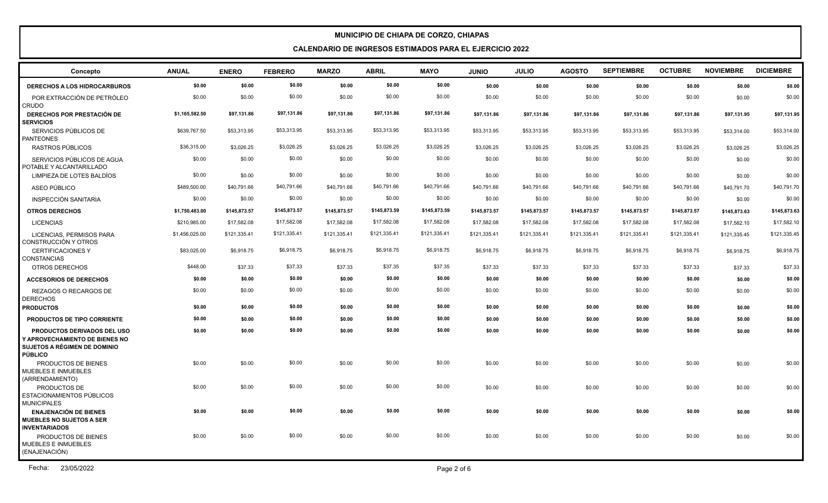| Concepto                                                                                                                      | <b>ANUAL</b>   | <b>ENERO</b> | <b>FEBRERO</b> | <b>MARZO</b> | <b>ABRIL</b> | <b>MAYO</b>  | <b>JUNIO</b> | <b>JULIO</b> | <b>AGOSTO</b> | <b>SEPTIEMBRE</b> | <b>OCTUBRE</b> | <b>NOVIEMBRE</b> | <b>DICIEMBRE</b> |
|-------------------------------------------------------------------------------------------------------------------------------|----------------|--------------|----------------|--------------|--------------|--------------|--------------|--------------|---------------|-------------------|----------------|------------------|------------------|
| <b>DERECHOS A LOS HIDROCARBUROS</b>                                                                                           | \$0.00         | \$0.00       | \$0.00         | \$0.00       | \$0.00       | \$0.00       | \$0.00       | \$0.00       | \$0.00        | \$0.00            | \$0.00         | \$0.00           | \$0.00           |
| POR EXTRACCIÓN DE PETRÓLEO<br><b>CRUDO</b>                                                                                    | \$0.00         | \$0.00       | \$0.00         | \$0.00       | \$0.00       | \$0.00       | \$0.00       | \$0.00       | \$0.00        | \$0.00            | \$0.00         | \$0.00           | \$0.00           |
| DERECHOS POR PRESTACIÓN DE<br><b>SERVICIOS</b>                                                                                | \$1,165,582.50 | \$97,131.86  | \$97,131.86    | \$97,131.86  | \$97,131.86  | \$97,131.86  | \$97,131.86  | \$97,131.86  | \$97,131.86   | \$97,131.86       | \$97,131.86    | \$97,131.95      | \$97,131.95      |
| SERVICIOS PÚBLICOS DE<br><b>PANTEONES</b>                                                                                     | \$639,767.50   | \$53,313.95  | \$53,313.95    | \$53,313.95  | \$53,313.95  | \$53,313.95  | \$53,313.95  | \$53,313.95  | \$53,313.95   | \$53,313.95       | \$53,313.95    | \$53,314.00      | \$53,314.00      |
| RASTROS PÚBLICOS                                                                                                              | \$36,315.00    | \$3,026.25   | \$3,026.25     | \$3,026.25   | \$3,026.25   | \$3,026.25   | \$3,026.25   | \$3,026.25   | \$3,026.25    | \$3,026.25        | \$3,026.25     | \$3,026.25       | \$3,026.25       |
| SERVICIOS PÚBLICOS DE AGUA<br>POTABLE Y ALCANTARILLADO                                                                        | \$0.00         | \$0.00       | \$0.00         | \$0.00       | \$0.00       | \$0.00       | \$0.00       | \$0.00       | \$0.00        | \$0.00            | \$0.00         | \$0.00           | \$0.00           |
| LIMPIEZA DE LOTES BALDÍOS                                                                                                     | \$0.00         | \$0.00       | \$0.00         | \$0.00       | \$0.00       | \$0.00       | \$0.00       | \$0.00       | \$0.00        | \$0.00            | \$0.00         | \$0.00           | \$0.00           |
| ASEO PÚBLICO                                                                                                                  | \$489,500.00   | \$40,791.66  | \$40,791.66    | \$40,791.66  | \$40,791.66  | \$40,791.66  | \$40,791.66  | \$40,791.66  | \$40,791.66   | \$40,791.66       | \$40,791.66    | \$40,791.70      | \$40,791.70      |
| <b>INSPECCIÓN SANITARIA</b>                                                                                                   | \$0.00         | \$0.00       | \$0.00         | \$0.00       | \$0.00       | \$0.00       | \$0.00       | \$0.00       | \$0.00        | \$0.00            | \$0.00         | \$0.00           | \$0.00           |
| <b>OTROS DERECHOS</b>                                                                                                         | \$1,750,483.00 | \$145,873.57 | \$145,873.57   | \$145,873.57 | \$145,873.59 | \$145,873.59 | \$145,873.57 | \$145,873.57 | \$145,873.57  | \$145,873.57      | \$145,873.57   | \$145,873.63     | \$145,873.63     |
| <b>LICENCIAS</b>                                                                                                              | \$210,985.00   | \$17,582.08  | \$17,582.08    | \$17,582.08  | \$17,582.08  | \$17,582.08  | \$17,582.08  | \$17,582.08  | \$17,582.08   | \$17,582.08       | \$17,582.08    | \$17,582.10      | \$17,582.10      |
| LICENCIAS, PERMISOS PARA<br>CONSTRUCCIÓN Y OTROS                                                                              | \$1,456,025.00 | \$121,335.41 | \$121,335.41   | \$121,335.41 | \$121,335.41 | \$121,335.41 | \$121,335.41 | \$121,335.41 | \$121,335.41  | \$121,335.41      | \$121,335.41   | \$121,335.45     | \$121,335.45     |
| <b>CERTIFICACIONES Y</b><br><b>CONSTANCIAS</b>                                                                                | \$83,025.00    | \$6,918.75   | \$6,918.75     | \$6,918.75   | \$6,918.75   | \$6,918.75   | \$6,918.75   | \$6.918.75   | \$6,918.75    | \$6,918.75        | \$6,918.75     | \$6,918.75       | \$6,918.75       |
| OTROS DERECHOS                                                                                                                | \$448.00       | \$37.33      | \$37.33        | \$37.33      | \$37.35      | \$37.35      | \$37.33      | \$37.33      | \$37.33       | \$37.33           | \$37.33        | \$37.33          | \$37.33          |
| <b>ACCESORIOS DE DERECHOS</b>                                                                                                 | \$0.00         | \$0.00       | \$0.00         | \$0.00       | \$0.00       | \$0.00       | \$0.00       | \$0.00       | \$0.00        | \$0.00            | \$0.00         | \$0.00           | \$0.00           |
| <b>REZAGOS O RECARGOS DE</b><br><b>DERECHOS</b>                                                                               | \$0.00         | \$0.00       | \$0.00         | \$0.00       | \$0.00       | \$0.00       | \$0.00       | \$0.00       | \$0.00        | \$0.00            | \$0.00         | \$0.00           | \$0.00           |
| <b>PRODUCTOS</b>                                                                                                              | \$0.00         | \$0.00       | \$0.00         | \$0.00       | \$0.00       | \$0.00       | \$0.00       | \$0.00       | \$0.00        | \$0.00            | \$0.00         | \$0.00           | \$0.00           |
| PRODUCTOS DE TIPO CORRIENTE                                                                                                   | \$0.00         | \$0.00       | \$0.00         | \$0.00       | \$0.00       | \$0.00       | \$0.00       | \$0.00       | \$0.00        | \$0.00            | \$0.00         | \$0.00           | \$0.00           |
| <b>PRODUCTOS DERIVADOS DEL USO</b><br>Y APROVECHAMIENTO DE BIENES NO<br><b>SUJETOS A RÉGIMEN DE DOMINIO</b><br><b>PÚBLICO</b> | \$0.00         | \$0.00       | \$0.00         | \$0.00       | \$0.00       | \$0.00       | \$0.00       | \$0.00       | \$0.00        | \$0.00            | \$0.00         | \$0.00           | \$0.00           |
| PRODUCTOS DE BIENES<br>MUEBLES E INMUEBLES<br>(ARRENDAMIENTO)                                                                 | \$0.00         | \$0.00       | \$0.00         | \$0.00       | \$0.00       | \$0.00       | \$0.00       | \$0.00       | \$0.00        | \$0.00            | \$0.00         | \$0.00           | \$0.00           |
| PRODUCTOS DE<br>ESTACIONAMIENTOS PÚBLICOS<br><b>MUNICIPALES</b>                                                               | \$0.00         | \$0.00       | \$0.00         | \$0.00       | \$0.00       | \$0.00       | \$0.00       | \$0.00       | \$0.00        | \$0.00            | \$0.00         | \$0.00           | \$0.00           |
| <b>ENAJENACIÓN DE BIENES</b><br><b>I MUEBLES NO SUJETOS A SER</b><br><b>INVENTARIADOS</b>                                     | \$0.00         | \$0.00       | \$0.00         | \$0.00       | \$0.00       | \$0.00       | \$0.00       | \$0.00       | \$0.00        | \$0.00            | \$0.00         | \$0.00           | \$0.00           |
| PRODUCTOS DE BIENES<br><b>MUEBLES E INMUEBLES</b><br>(ENAJENACIÓN)                                                            | \$0.00         | \$0.00       | \$0.00         | \$0.00       | \$0.00       | \$0.00       | \$0.00       | \$0.00       | \$0.00        | \$0.00            | \$0.00         | \$0.00           | \$0.00           |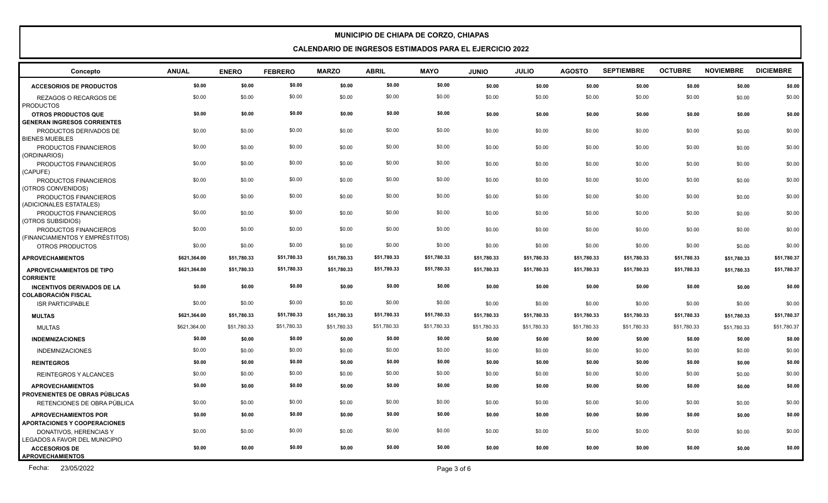**CALENDARIO DE INGRESOS ESTIMADOS PARA EL EJERCICIO 2022**

| Concepto                                                           | <b>ANUAL</b> | <b>ENERO</b> | <b>FEBRERO</b> | <b>MARZO</b> | <b>ABRIL</b> | <b>MAYO</b> | <b>JUNIO</b> | <b>JULIO</b> | <b>AGOSTO</b> | <b>SEPTIEMBRE</b> | <b>OCTUBRE</b> | <b>NOVIEMBRE</b> | <b>DICIEMBRE</b> |
|--------------------------------------------------------------------|--------------|--------------|----------------|--------------|--------------|-------------|--------------|--------------|---------------|-------------------|----------------|------------------|------------------|
| <b>ACCESORIOS DE PRODUCTOS</b>                                     | \$0.00       | \$0.00       | \$0.00         | \$0.00       | \$0.00       | \$0.00      | \$0.00       | \$0.00       | \$0.00        | \$0.00            | \$0.00         | \$0.00           | \$0.00           |
| REZAGOS O RECARGOS DE<br><b>PRODUCTOS</b>                          | \$0.00       | \$0.00       | \$0.00         | \$0.00       | \$0.00       | \$0.00      | \$0.00       | \$0.00       | \$0.00        | \$0.00            | \$0.00         | \$0.00           | \$0.00           |
| <b>OTROS PRODUCTOS QUE</b>                                         | \$0.00       | \$0.00       | \$0.00         | \$0.00       | \$0.00       | \$0.00      | \$0.00       | \$0.00       | \$0.00        | \$0.00            | \$0.00         | \$0.00           | \$0.00           |
| <b>GENERAN INGRESOS CORRIENTES</b>                                 |              |              |                |              |              |             |              |              |               |                   |                |                  |                  |
| PRODUCTOS DERIVADOS DE<br><b>BIENES MUEBLES</b>                    | \$0.00       | \$0.00       | \$0.00         | \$0.00       | \$0.00       | \$0.00      | \$0.00       | \$0.00       | \$0.00        | \$0.00            | \$0.00         | \$0.00           | \$0.00           |
| PRODUCTOS FINANCIEROS<br>(ORDINARIOS)                              | \$0.00       | \$0.00       | \$0.00         | \$0.00       | \$0.00       | \$0.00      | \$0.00       | \$0.00       | \$0.00        | \$0.00            | \$0.00         | \$0.00           | \$0.00           |
| PRODUCTOS FINANCIEROS<br>(CAPUFE)                                  | \$0.00       | \$0.00       | \$0.00         | \$0.00       | \$0.00       | \$0.00      | \$0.00       | \$0.00       | \$0.00        | \$0.00            | \$0.00         | \$0.00           | \$0.00           |
| PRODUCTOS FINANCIEROS<br>(OTROS CONVENIDOS)                        | \$0.00       | \$0.00       | \$0.00         | \$0.00       | \$0.00       | \$0.00      | \$0.00       | \$0.00       | \$0.00        | \$0.00            | \$0.00         | \$0.00           | \$0.00           |
| PRODUCTOS FINANCIEROS<br>(ADICIONALES ESTATALES)                   | \$0.00       | \$0.00       | \$0.00         | \$0.00       | \$0.00       | \$0.00      | \$0.00       | \$0.00       | \$0.00        | \$0.00            | \$0.00         | \$0.00           | \$0.00           |
| PRODUCTOS FINANCIEROS<br>(OTROS SUBSIDIOS)                         | \$0.00       | \$0.00       | \$0.00         | \$0.00       | \$0.00       | \$0.00      | \$0.00       | \$0.00       | \$0.00        | \$0.00            | \$0.00         | \$0.00           | \$0.00           |
| PRODUCTOS FINANCIEROS<br>(FINANCIAMIENTOS Y EMPRÉSTITOS)           | \$0.00       | \$0.00       | \$0.00         | \$0.00       | \$0.00       | \$0.00      | \$0.00       | \$0.00       | \$0.00        | \$0.00            | \$0.00         | \$0.00           | \$0.00           |
| OTROS PRODUCTOS                                                    | \$0.00       | \$0.00       | \$0.00         | \$0.00       | \$0.00       | \$0.00      | \$0.00       | \$0.00       | \$0.00        | \$0.00            | \$0.00         | \$0.00           | \$0.00           |
| <b>APROVECHAMIENTOS</b>                                            | \$621,364.00 | \$51,780.33  | \$51,780.33    | \$51,780.33  | \$51,780.33  | \$51,780.33 | \$51,780.33  | \$51,780.33  | \$51,780.33   | \$51,780.33       | \$51,780.33    | \$51,780.33      | \$51,780.37      |
| APROVECHAMIENTOS DE TIPO<br><b>CORRIENTE</b>                       | \$621,364.00 | \$51,780.33  | \$51,780.33    | \$51,780.33  | \$51,780.33  | \$51,780.33 | \$51,780.33  | \$51,780.33  | \$51,780.33   | \$51,780.33       | \$51,780.33    | \$51,780.33      | \$51,780.37      |
| <b>INCENTIVOS DERIVADOS DE LA</b><br>I COLABORACIÓN FISCAL         | \$0.00       | \$0.00       | \$0.00         | \$0.00       | \$0.00       | \$0.00      | \$0.00       | \$0.00       | \$0.00        | \$0.00            | \$0.00         | \$0.00           | \$0.00           |
| <b>ISR PARTICIPABLE</b>                                            | \$0.00       | \$0.00       | \$0.00         | \$0.00       | \$0.00       | \$0.00      | \$0.00       | \$0.00       | \$0.00        | \$0.00            | \$0.00         | \$0.00           | \$0.00           |
| <b>MULTAS</b>                                                      | \$621,364.00 | \$51,780.33  | \$51,780.33    | \$51,780.33  | \$51,780.33  | \$51,780.33 | \$51,780.33  | \$51,780.33  | \$51,780.33   | \$51,780.33       | \$51,780.33    | \$51,780.33      | \$51,780.37      |
| <b>MULTAS</b>                                                      | \$621,364.00 | \$51,780.33  | \$51,780.33    | \$51,780.33  | \$51,780.33  | \$51,780.33 | \$51,780.33  | \$51,780.33  | \$51,780.33   | \$51,780.33       | \$51,780.33    | \$51,780.33      | \$51,780.37      |
| <b>INDEMNIZACIONES</b>                                             | \$0.00       | \$0.00       | \$0.00         | \$0.00       | \$0.00       | \$0.00      | \$0.00       | \$0.00       | \$0.00        | \$0.00            | \$0.00         | \$0.00           | \$0.00           |
| <b>INDEMNIZACIONES</b>                                             | \$0.00       | \$0.00       | \$0.00         | \$0.00       | \$0.00       | \$0.00      | \$0.00       | \$0.00       | \$0.00        | \$0.00            | \$0.00         | \$0.00           | \$0.00           |
| <b>REINTEGROS</b>                                                  | \$0.00       | \$0.00       | \$0.00         | \$0.00       | \$0.00       | \$0.00      | \$0.00       | \$0.00       | \$0.00        | \$0.00            | \$0.00         | \$0.00           | \$0.00           |
| <b>REINTEGROS Y ALCANCES</b>                                       | \$0.00       | \$0.00       | \$0.00         | \$0.00       | \$0.00       | \$0.00      | \$0.00       | \$0.00       | \$0.00        | \$0.00            | \$0.00         | \$0.00           | \$0.00           |
| <b>APROVECHAMIENTOS</b><br><b>I PROVENIENTES DE OBRAS PÚBLICAS</b> | \$0.00       | \$0.00       | \$0.00         | \$0.00       | \$0.00       | \$0.00      | \$0.00       | \$0.00       | \$0.00        | \$0.00            | \$0.00         | \$0.00           | \$0.00           |
| RETENCIONES DE OBRA PÚBLICA                                        | \$0.00       | \$0.00       | \$0.00         | \$0.00       | \$0.00       | \$0.00      | \$0.00       | \$0.00       | \$0.00        | \$0.00            | \$0.00         | \$0.00           | \$0.00           |
| <b>APROVECHAMIENTOS POR</b><br><b>APORTACIONES Y COOPERACIONES</b> | \$0.00       | \$0.00       | \$0.00         | \$0.00       | \$0.00       | \$0.00      | \$0.00       | \$0.00       | \$0.00        | \$0.00            | \$0.00         | \$0.00           | \$0.00           |
| DONATIVOS, HERENCIAS Y<br>LEGADOS A FAVOR DEL MUNICIPIO            | \$0.00       | \$0.00       | \$0.00         | \$0.00       | \$0.00       | \$0.00      | \$0.00       | \$0.00       | \$0.00        | \$0.00            | \$0.00         | \$0.00           | \$0.00           |
| <b>ACCESORIOS DE</b><br><b>APROVECHAMIENTOS</b>                    | \$0.00       | \$0.00       | \$0.00         | \$0.00       | \$0.00       | \$0.00      | \$0.00       | \$0.00       | \$0.00        | \$0.00            | \$0.00         | \$0.00           | \$0.00           |

Fecha: 23/05/2022 Page 3 of 6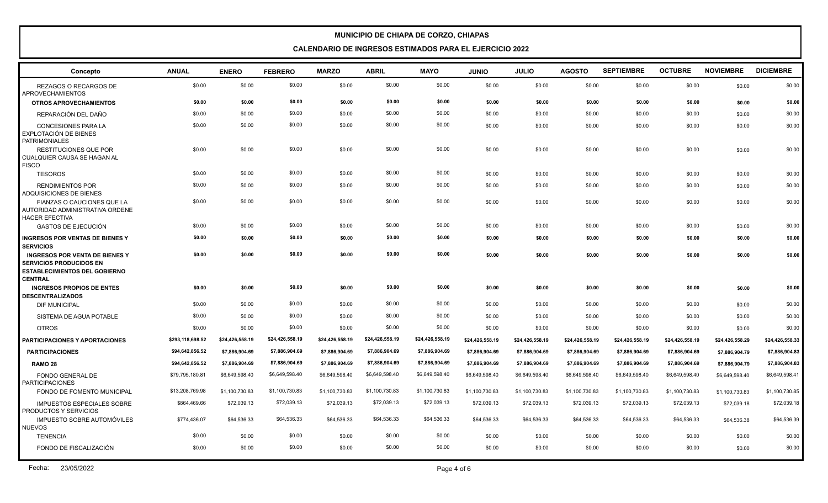| Concepto                                                                                                                          | <b>ANUAL</b>     | <b>ENERO</b>    | <b>FEBRERO</b>  | <b>MARZO</b>    | <b>ABRIL</b>    | <b>MAYO</b>     | <b>JUNIO</b>    | <b>JULIO</b>    | <b>AGOSTO</b>   | <b>SEPTIEMBRE</b> | <b>OCTUBRE</b>  | <b>NOVIEMBRE</b> | <b>DICIEMBRE</b> |
|-----------------------------------------------------------------------------------------------------------------------------------|------------------|-----------------|-----------------|-----------------|-----------------|-----------------|-----------------|-----------------|-----------------|-------------------|-----------------|------------------|------------------|
| REZAGOS O RECARGOS DE<br><b>APROVECHAMIENTOS</b>                                                                                  | \$0.00           | \$0.00          | \$0.00          | \$0.00          | \$0.00          | \$0.00          | \$0.00          | \$0.00          | \$0.00          | \$0.00            | \$0.00          | \$0.00           | \$0.00           |
| <b>OTROS APROVECHAMIENTOS</b>                                                                                                     | \$0.00           | \$0.00          | \$0.00          | \$0.00          | \$0.00          | \$0.00          | \$0.00          | \$0.00          | \$0.00          | \$0.00            | \$0.00          | \$0.00           | \$0.00           |
| REPARACIÓN DEL DAÑO                                                                                                               | \$0.00           | \$0.00          | \$0.00          | \$0.00          | \$0.00          | \$0.00          | \$0.00          | \$0.00          | \$0.00          | \$0.00            | \$0.00          | \$0.00           | \$0.00           |
| <b>CONCESIONES PARA LA</b><br>EXPLOTACIÓN DE BIENES<br>PATRIMONIALES                                                              | \$0.00           | \$0.00          | \$0.00          | \$0.00          | \$0.00          | \$0.00          | \$0.00          | \$0.00          | \$0.00          | \$0.00            | \$0.00          | \$0.00           | \$0.00           |
| <b>RESTITUCIONES QUE POR</b><br>l CUALQUIER CAUSA SE HAGAN AL<br><b>FISCO</b>                                                     | \$0.00           | \$0.00          | \$0.00          | \$0.00          | \$0.00          | \$0.00          | \$0.00          | \$0.00          | \$0.00          | \$0.00            | \$0.00          | \$0.00           | \$0.00           |
| <b>TESOROS</b>                                                                                                                    | \$0.00           | \$0.00          | \$0.00          | \$0.00          | \$0.00          | \$0.00          | \$0.00          | \$0.00          | \$0.00          | \$0.00            | \$0.00          | \$0.00           | \$0.00           |
| <b>RENDIMIENTOS POR</b><br>ADQUISICIONES DE BIENES                                                                                | \$0.00           | \$0.00          | \$0.00          | \$0.00          | \$0.00          | \$0.00          | \$0.00          | \$0.00          | \$0.00          | \$0.00            | \$0.00          | \$0.00           | \$0.00           |
| FIANZAS O CAUCIONES QUE LA<br>AUTORIDAD ADMINISTRATIVA ORDENE<br><b>HACER EFECTIVA</b>                                            | \$0.00           | \$0.00          | \$0.00          | \$0.00          | \$0.00          | \$0.00          | \$0.00          | \$0.00          | \$0.00          | \$0.00            | \$0.00          | \$0.00           | \$0.00           |
| <b>GASTOS DE EJECUCIÓN</b>                                                                                                        | \$0.00           | \$0.00          | \$0.00          | \$0.00          | \$0.00          | \$0.00          | \$0.00          | \$0.00          | \$0.00          | \$0.00            | \$0.00          | \$0.00           | \$0.00           |
| <b>INGRESOS POR VENTAS DE BIENES Y</b><br><b>SERVICIOS</b>                                                                        | \$0.00           | \$0.00          | \$0.00          | \$0.00          | \$0.00          | \$0.00          | \$0.00          | \$0.00          | \$0.00          | \$0.00            | \$0.00          | \$0.00           | \$0.00           |
| <b>INGRESOS POR VENTA DE BIENES Y</b><br><b>SERVICIOS PRODUCIDOS EN</b><br><b>ESTABLECIMIENTOS DEL GOBIERNO</b><br><b>CENTRAL</b> | \$0.00           | \$0.00          | \$0.00          | \$0.00          | \$0.00          | \$0.00          | \$0.00          | \$0.00          | \$0.00          | \$0.00            | \$0.00          | \$0.00           | \$0.00           |
| <b>INGRESOS PROPIOS DE ENTES</b><br><b>DESCENTRALIZADOS</b>                                                                       | \$0.00           | \$0.00          | \$0.00          | \$0.00          | \$0.00          | \$0.00          | \$0.00          | \$0.00          | \$0.00          | \$0.00            | \$0.00          | \$0.00           | \$0.00           |
| DIF MUNICIPAL                                                                                                                     | \$0.00           | \$0.00          | \$0.00          | \$0.00          | \$0.00          | \$0.00          | \$0.00          | \$0.00          | \$0.00          | \$0.00            | \$0.00          | \$0.00           | \$0.00           |
| SISTEMA DE AGUA POTABLE                                                                                                           | \$0.00           | \$0.00          | \$0.00          | \$0.00          | \$0.00          | \$0.00          | \$0.00          | \$0.00          | \$0.00          | \$0.00            | \$0.00          | \$0.00           | \$0.00           |
| <b>OTROS</b>                                                                                                                      | \$0.00           | \$0.00          | \$0.00          | \$0.00          | \$0.00          | \$0.00          | \$0.00          | \$0.00          | \$0.00          | \$0.00            | \$0.00          | \$0.00           | \$0.00           |
| <b>PARTICIPACIONES Y APORTACIONES</b>                                                                                             | \$293,118,698.52 | \$24,426,558.19 | \$24,426,558.19 | \$24,426,558.19 | \$24,426,558.19 | \$24,426,558.19 | \$24,426,558.19 | \$24,426,558.19 | \$24,426,558.19 | \$24,426,558.19   | \$24,426,558.19 | \$24,426,558.29  | \$24,426,558.33  |
| <b>PARTICIPACIONES</b>                                                                                                            | \$94,642,856.52  | \$7,886,904.69  | \$7,886,904.69  | \$7,886,904.69  | \$7,886,904.69  | \$7,886,904.69  | \$7,886,904.69  | \$7,886,904.69  | \$7,886,904.69  | \$7,886,904.69    | \$7,886,904.69  | \$7,886,904.79   | \$7,886,904.83   |
| <b>RAMO 28</b>                                                                                                                    | \$94,642,856.52  | \$7,886,904.69  | \$7,886,904.69  | \$7,886,904.69  | \$7,886,904.69  | \$7,886,904.69  | \$7,886,904.69  | \$7,886,904.69  | \$7,886,904.69  | \$7,886,904.69    | \$7,886,904.69  | \$7,886,904.79   | \$7,886,904.83   |
| <b>FONDO GENERAL DE</b><br><b>PARTICIPACIONES</b>                                                                                 | \$79,795,180.81  | \$6,649,598.40  | \$6,649,598.40  | \$6,649,598.40  | \$6,649,598.40  | \$6,649,598.40  | \$6,649,598.40  | \$6,649,598.40  | \$6,649,598.40  | \$6,649,598.40    | \$6,649,598.40  | \$6,649,598.40   | \$6,649,598.41   |
| FONDO DE FOMENTO MUNICIPAL                                                                                                        | \$13,208,769.98  | \$1,100,730.83  | \$1,100,730.83  | \$1,100,730.83  | \$1,100,730.83  | \$1,100,730.83  | \$1,100,730.83  | \$1,100,730.83  | \$1,100,730.83  | \$1,100,730.83    | \$1,100,730.83  | \$1,100,730.83   | \$1,100,730.85   |
| <b>IMPUESTOS ESPECIALES SOBRE</b><br><b>PRODUCTOS Y SERVICIOS</b>                                                                 | \$864,469.66     | \$72,039.13     | \$72,039.13     | \$72,039.13     | \$72,039.13     | \$72,039.13     | \$72,039.13     | \$72,039.13     | \$72,039.13     | \$72,039.13       | \$72,039.13     | \$72,039.18      | \$72,039.18      |
| <b>IMPUESTO SOBRE AUTOMÓVILES</b><br><b>NUEVOS</b>                                                                                | \$774,436.07     | \$64,536.33     | \$64,536.33     | \$64,536.33     | \$64,536.33     | \$64,536.33     | \$64,536.33     | \$64,536.33     | \$64,536.33     | \$64,536.33       | \$64,536.33     | \$64,536.38      | \$64,536.39      |
| <b>TENENCIA</b>                                                                                                                   | \$0.00           | \$0.00          | \$0.00          | \$0.00          | \$0.00          | \$0.00          | \$0.00          | \$0.00          | \$0.00          | \$0.00            | \$0.00          | \$0.00           | \$0.00           |
| FONDO DE FISCALIZACIÓN                                                                                                            | \$0.00           | \$0.00          | \$0.00          | \$0.00          | \$0.00          | \$0.00          | \$0.00          | \$0.00          | \$0.00          | \$0.00            | \$0.00          | \$0.00           | \$0.00           |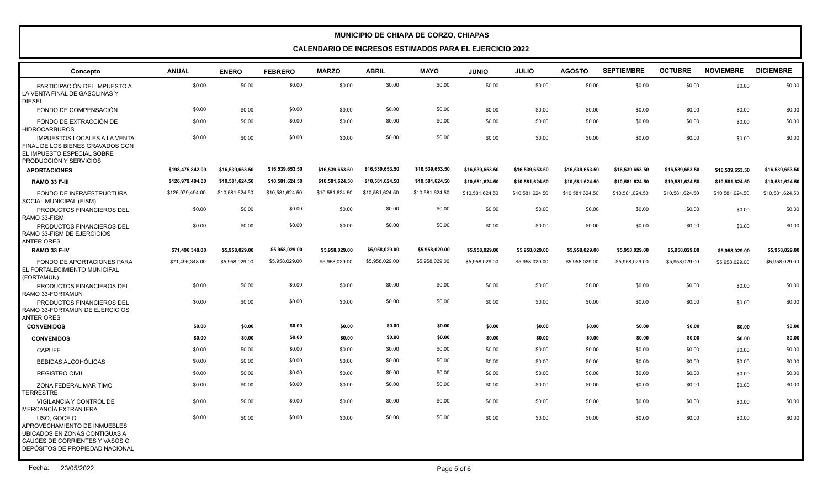| Concepto                                                                                                                                          | <b>ANUAL</b>     | <b>ENERO</b>    | <b>FEBRERO</b>  | <b>MARZO</b>    | <b>ABRIL</b>    | <b>MAYO</b>     | <b>JUNIO</b>    | <b>JULIO</b>    | <b>AGOSTO</b>   | <b>SEPTIEMBRE</b> | <b>OCTUBRE</b>  | <b>NOVIEMBRE</b> | <b>DICIEMBRE</b> |
|---------------------------------------------------------------------------------------------------------------------------------------------------|------------------|-----------------|-----------------|-----------------|-----------------|-----------------|-----------------|-----------------|-----------------|-------------------|-----------------|------------------|------------------|
| PARTICIPACIÓN DEL IMPUESTO A<br>LA VENTA FINAL DE GASOLINAS Y<br><b>DIESEL</b>                                                                    | \$0.00           | \$0.00          | \$0.00          | \$0.00          | \$0.00          | \$0.00          | \$0.00          | \$0.00          | \$0.00          | \$0.00            | \$0.00          | \$0.00           | \$0.00           |
| FONDO DE COMPENSACIÓN                                                                                                                             | \$0.00           | \$0.00          | \$0.00          | \$0.00          | \$0.00          | \$0.00          | \$0.00          | \$0.00          | \$0.00          | \$0.00            | \$0.00          | \$0.00           | \$0.00           |
| FONDO DE EXTRACCIÓN DE<br><b>HIDROCARBUROS</b>                                                                                                    | \$0.00           | \$0.00          | \$0.00          | \$0.00          | \$0.00          | \$0.00          | \$0.00          | \$0.00          | \$0.00          | \$0.00            | \$0.00          | \$0.00           | \$0.00           |
| <b>IMPUESTOS LOCALES A LA VENTA</b><br>FINAL DE LOS BIENES GRAVADOS CON<br>EL IMPUESTO ESPECIAL SOBRE<br>PRODUCCIÓN Y SERVICIOS                   | \$0.00           | \$0.00          | \$0.00          | \$0.00          | \$0.00          | \$0.00          | \$0.00          | \$0.00          | \$0.00          | \$0.00            | \$0.00          | \$0.00           | \$0.00           |
| <b>APORTACIONES</b>                                                                                                                               | \$198,475,842.00 | \$16,539,653.50 | \$16,539,653.50 | \$16,539,653.50 | \$16,539,653.50 | \$16,539,653.50 | \$16,539,653.50 | \$16,539,653.50 | \$16,539,653.50 | \$16,539,653.50   | \$16,539,653.50 | \$16,539,653.50  | \$16,539,653.50  |
| RAMO 33 F-III                                                                                                                                     | \$126,979,494.00 | \$10,581,624.50 | \$10,581,624.50 | \$10,581,624.50 | \$10,581,624.50 | \$10,581,624.50 | \$10,581,624.50 | \$10,581,624.50 | \$10,581,624.50 | \$10,581,624.50   | \$10,581,624.50 | \$10,581,624.50  | \$10,581,624.50  |
| FONDO DE INFRAESTRUCTURA<br>SOCIAL MUNICIPAL (FISM)                                                                                               | \$126,979,494.00 | \$10,581,624.50 | \$10,581,624.50 | \$10,581,624.50 | \$10,581,624.50 | \$10,581,624.50 | \$10,581,624.50 | \$10,581,624.50 | \$10,581,624.50 | \$10,581,624.50   | \$10,581,624.50 | \$10,581,624.50  | \$10,581,624.50  |
| PRODUCTOS FINANCIEROS DEL<br>RAMO 33-FISM                                                                                                         | \$0.00           | \$0.00          | \$0.00          | \$0.00          | \$0.00          | \$0.00          | \$0.00          | \$0.00          | \$0.00          | \$0.00            | \$0.00          | \$0.00           | \$0.00           |
| PRODUCTOS FINANCIEROS DEL<br>RAMO 33-FISM DE EJERCICIOS<br><b>ANTERIORES</b>                                                                      | \$0.00           | \$0.00          | \$0.00          | \$0.00          | \$0.00          | \$0.00          | \$0.00          | \$0.00          | \$0.00          | \$0.00            | \$0.00          | \$0.00           | \$0.00           |
| RAMO 33 F-IV                                                                                                                                      | \$71,496,348.00  | \$5,958,029.00  | \$5,958,029.00  | \$5,958,029.00  | \$5,958,029.00  | \$5,958,029.00  | \$5,958,029.00  | \$5,958,029.00  | \$5,958,029.00  | \$5,958,029.00    | \$5,958,029.00  | \$5,958,029.00   | \$5,958,029.00   |
| FONDO DE APORTACIONES PARA<br>EL FORTALECIMIENTO MUNICIPAL<br>(FORTAMUN)                                                                          | \$71,496,348.00  | \$5,958,029.00  | \$5,958,029.00  | \$5,958,029.00  | \$5,958,029.00  | \$5,958,029.00  | \$5,958,029.00  | \$5,958,029.00  | \$5,958,029.00  | \$5,958,029.00    | \$5,958,029.00  | \$5,958,029.00   | \$5,958,029.00   |
| PRODUCTOS FINANCIEROS DEL<br>RAMO 33-FORTAMUN                                                                                                     | \$0.00           | \$0.00          | \$0.00          | \$0.00          | \$0.00          | \$0.00          | \$0.00          | \$0.00          | \$0.00          | \$0.00            | \$0.00          | \$0.00           | \$0.00           |
| PRODUCTOS FINANCIEROS DEL<br>RAMO 33-FORTAMUN DE EJERCICIOS<br><b>ANTERIORES</b>                                                                  | \$0.00           | \$0.00          | \$0.00          | \$0.00          | \$0.00          | \$0.00          | \$0.00          | \$0.00          | \$0.00          | \$0.00            | \$0.00          | \$0.00           | \$0.00           |
| <b>CONVENIDOS</b>                                                                                                                                 | \$0.00           | \$0.00          | \$0.00          | \$0.00          | \$0.00          | \$0.00          | \$0.00          | \$0.00          | \$0.00          | \$0.00            | \$0.00          | \$0.00           | \$0.00           |
| <b>CONVENIDOS</b>                                                                                                                                 | \$0.00           | \$0.00          | \$0.00          | \$0.00          | \$0.00          | \$0.00          | \$0.00          | \$0.00          | \$0.00          | \$0.00            | \$0.00          | \$0.00           | \$0.00           |
| <b>CAPUFE</b>                                                                                                                                     | \$0.00           | \$0.00          | \$0.00          | \$0.00          | \$0.00          | \$0.00          | \$0.00          | \$0.00          | \$0.00          | \$0.00            | \$0.00          | \$0.00           | \$0.00           |
| <b>BEBIDAS ALCOHÓLICAS</b>                                                                                                                        | \$0.00           | \$0.00          | \$0.00          | \$0.00          | \$0.00          | \$0.00          | \$0.00          | \$0.00          | \$0.00          | \$0.00            | \$0.00          | \$0.00           | \$0.00           |
| <b>REGISTRO CIVIL</b>                                                                                                                             | \$0.00           | \$0.00          | \$0.00          | \$0.00          | \$0.00          | \$0.00          | \$0.00          | \$0.00          | \$0.00          | \$0.00            | \$0.00          | \$0.00           | \$0.00           |
| ZONA FEDERAL MARÍTIMO<br><b>TERRESTRE</b>                                                                                                         | \$0.00           | \$0.00          | \$0.00          | \$0.00          | \$0.00          | \$0.00          | \$0.00          | \$0.00          | \$0.00          | \$0.00            | \$0.00          | \$0.00           | \$0.00           |
| VIGILANCIA Y CONTROL DE<br>MERCANCÍA EXTRANJERA                                                                                                   | \$0.00           | \$0.00          | \$0.00          | \$0.00          | \$0.00          | \$0.00          | \$0.00          | \$0.00          | \$0.00          | \$0.00            | \$0.00          | \$0.00           | \$0.00           |
| USO, GOCE O<br>APROVECHAMIENTO DE INMUEBLES<br>UBICADOS EN ZONAS CONTIGUAS A<br>CAUCES DE CORRIENTES Y VASOS O<br>DEPÓSITOS DE PROPIEDAD NACIONAL | \$0.00           | \$0.00          | \$0.00          | \$0.00          | \$0.00          | \$0.00          | \$0.00          | \$0.00          | \$0.00          | \$0.00            | \$0.00          | \$0.00           | \$0.00           |